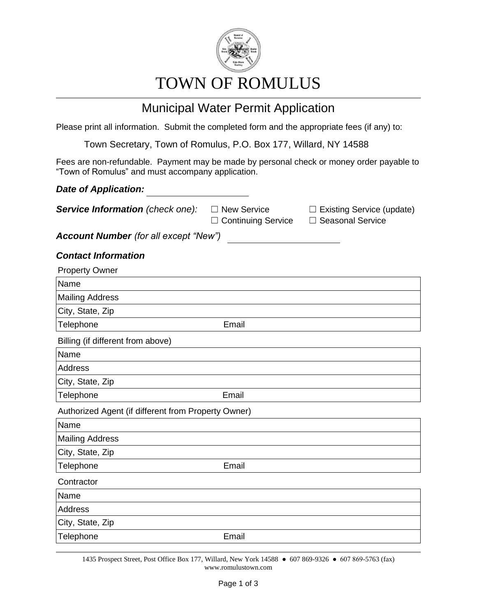

# TOWN OF ROMULUS

## Municipal Water Permit Application

Please print all information. Submit the completed form and the appropriate fees (if any) to:

Town Secretary, Town of Romulus, P.O. Box 177, Willard, NY 14588

Fees are non-refundable. Payment may be made by personal check or money order payable to "Town of Romulus" and must accompany application.

### *Date of Application:*

**Service Information** (check one): □ New Service □ Existing Service (update)

☐ Continuing Service ☐ Seasonal Service

*Account Number (for all except "New")*

### *Contact Information*

| <b>Property Owner</b>                               |       |  |
|-----------------------------------------------------|-------|--|
| Name                                                |       |  |
| <b>Mailing Address</b>                              |       |  |
| City, State, Zip                                    |       |  |
| Telephone                                           | Email |  |
| Billing (if different from above)                   |       |  |
| Name                                                |       |  |
| Address                                             |       |  |
| City, State, Zip                                    |       |  |
| Telephone                                           | Email |  |
| Authorized Agent (if different from Property Owner) |       |  |
| Name                                                |       |  |
| <b>Mailing Address</b>                              |       |  |
| City, State, Zip                                    |       |  |
| Telephone                                           | Email |  |
| Contractor                                          |       |  |
| Name                                                |       |  |
| Address                                             |       |  |
| City, State, Zip                                    |       |  |
| Telephone                                           | Email |  |

1435 Prospect Street, Post Office Box 177, Willard, New York 14588 ● 607 869-9326 ● 607 869-5763 (fax) www.romulustown.com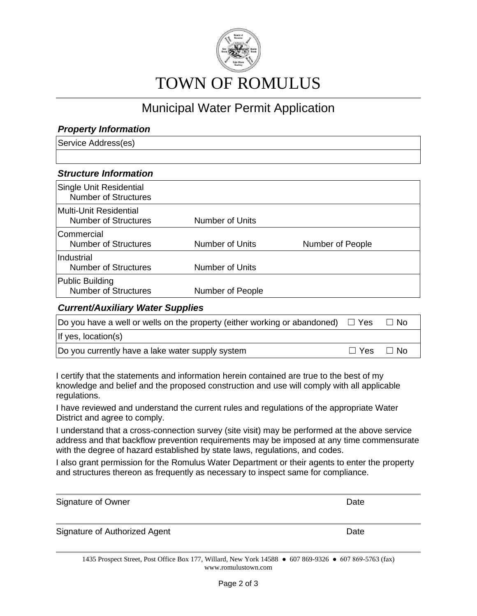

## Municipal Water Permit Application

### *Property Information*

Service Address(es)

### *Structure Information*

| Single Unit Residential<br><b>Number of Structures</b> |                        |                  |
|--------------------------------------------------------|------------------------|------------------|
| Multi-Unit Residential<br><b>Number of Structures</b>  | Number of Units        |                  |
| Commercial<br><b>Number of Structures</b>              | <b>Number of Units</b> | Number of People |
| Industrial<br><b>Number of Structures</b>              | <b>Number of Units</b> |                  |
| Public Building<br><b>Number of Structures</b>         | Number of People       |                  |

#### *Current/Auxiliary Water Supplies*

| Do you have a well or wells on the property (either working or abandoned) $\Box$ Yes |                      | $\Box$ No |
|--------------------------------------------------------------------------------------|----------------------|-----------|
| If yes, location(s)                                                                  |                      |           |
| Do you currently have a lake water supply system                                     | $\Box$ Yes $\Box$ No |           |

I certify that the statements and information herein contained are true to the best of my knowledge and belief and the proposed construction and use will comply with all applicable regulations.

I have reviewed and understand the current rules and regulations of the appropriate Water District and agree to comply.

I understand that a cross-connection survey (site visit) may be performed at the above service address and that backflow prevention requirements may be imposed at any time commensurate with the degree of hazard established by state laws, regulations, and codes.

I also grant permission for the Romulus Water Department or their agents to enter the property and structures thereon as frequently as necessary to inspect same for compliance.

| Signature of Owner                                                                                                       | Date |
|--------------------------------------------------------------------------------------------------------------------------|------|
| Signature of Authorized Agent                                                                                            | Date |
| $1425$ Dresmest Ctreet, Dest Office Dev. 177, Willerd, New York 14500 $\bullet$ 607,060,0226 $\bullet$ 607,060,5762.46v) |      |